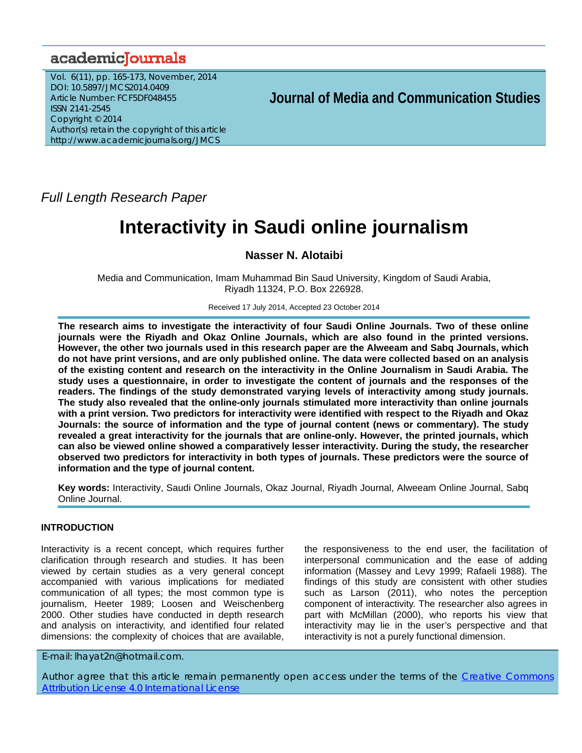## academicJournals

Vol. 6(11), pp. 165-173, November, 2014 DOI: 10.5897/JMCS2014.0409 Article Number: FCF5DF048455 ISSN 2141-2545 Copyright © 2014 Author(s) retain the copyright of this article http://www.academicjournals.org/JMCS

**Journal of Media and Communication Studies**

*Full Length Research Paper*

# **Interactivity in Saudi online journalism**

## **Nasser N. Alotaibi**

Media and Communication, Imam Muhammad Bin Saud University, Kingdom of Saudi Arabia, Riyadh 11324, P.O. Box 226928.

Received 17 July 2014, Accepted 23 October 2014

**The research aims to investigate the interactivity of four Saudi Online Journals. Two of these online journals were the Riyadh and Okaz Online Journals, which are also found in the printed versions. However, the other two journals used in this research paper are the Alweeam and Sabq Journals, which do not have print versions, and are only published online. The data were collected based on an analysis of the existing content and research on the interactivity in the Online Journalism in Saudi Arabia. The study uses a questionnaire, in order to investigate the content of journals and the responses of the readers. The findings of the study demonstrated varying levels of interactivity among study journals. The study also revealed that the online-only journals stimulated more interactivity than online journals with a print version. Two predictors for interactivity were identified with respect to the Riyadh and Okaz Journals: the source of information and the type of journal content (news or commentary). The study revealed a great interactivity for the journals that are online-only. However, the printed journals, which can also be viewed online showed a comparatively lesser interactivity. During the study, the researcher observed two predictors for interactivity in both types of journals. These predictors were the source of information and the type of journal content.** 

**Key words:** Interactivity, Saudi Online Journals, Okaz Journal, Riyadh Journal, Alweeam Online Journal, Sabq Online Journal.

#### **INTRODUCTION**

Interactivity is a recent concept, which requires further clarification through research and studies. It has been viewed by certain studies as a very general concept accompanied with various implications for mediated communication of all types; the most common type is journalism, Heeter 1989; Loosen and Weischenberg 2000. Other studies have conducted in depth research and analysis on interactivity, and identified four related dimensions: the complexity of choices that are available,

the responsiveness to the end user, the facilitation of interpersonal communication and the ease of adding information (Massey and Levy 1999; Rafaeli 1988). The findings of this study are consistent with other studies such as Larson (2011), who notes the perception component of interactivity. The researcher also agrees in part with McMillan (2000), who reports his view that interactivity may lie in the user's perspective and that interactivity is not a purely functional dimension.

E-mail: lhayat2n@hotmail.com.

Author agree that this article remain permanently open access under the terms of the Creative Commons Attribution License 4.0 International License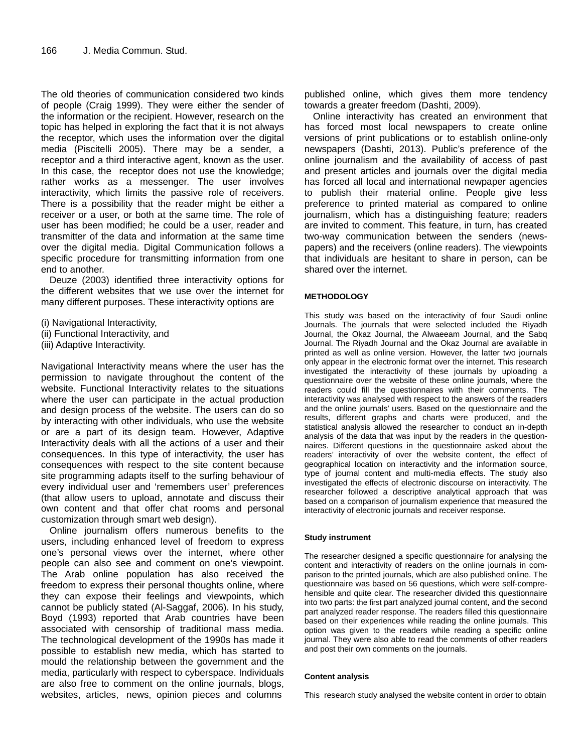The old theories of communication considered two kinds of people (Craig 1999). They were either the sender of the information or the recipient. However, research on the topic has helped in exploring the fact that it is not always the receptor, which uses the information over the digital media (Piscitelli 2005). There may be a sender, a receptor and a third interactive agent, known as the user. In this case, the receptor does not use the knowledge; rather works as a messenger. The user involves interactivity, which limits the passive role of receivers. There is a possibility that the reader might be either a receiver or a user, or both at the same time. The role of user has been modified; he could be a user, reader and transmitter of the data and information at the same time over the digital media. Digital Communication follows a specific procedure for transmitting information from one end to another.

Deuze (2003) identified three interactivity options for the different websites that we use over the internet for many different purposes. These interactivity options are

- (i) Navigational Interactivity,
- (ii) Functional Interactivity, and
- (iii) Adaptive Interactivity.

Navigational Interactivity means where the user has the permission to navigate throughout the content of the website. Functional Interactivity relates to the situations where the user can participate in the actual production and design process of the website. The users can do so by interacting with other individuals, who use the website or are a part of its design team. However, Adaptive Interactivity deals with all the actions of a user and their consequences. In this type of interactivity, the user has consequences with respect to the site content because site programming adapts itself to the surfing behaviour of every individual user and 'remembers user' preferences (that allow users to upload, annotate and discuss their own content and that offer chat rooms and personal customization through smart web design).

Online journalism offers numerous benefits to the users, including enhanced level of freedom to express one's personal views over the internet, where other people can also see and comment on one's viewpoint. The Arab online population has also received the freedom to express their personal thoughts online, where they can expose their feelings and viewpoints, which cannot be publicly stated (Al-Saggaf, 2006). In his study, Boyd (1993) reported that Arab countries have been associated with censorship of traditional mass media. The technological development of the 1990s has made it possible to establish new media, which has started to mould the relationship between the government and the media, particularly with respect to cyberspace. Individuals are also free to comment on the online journals, blogs, websites, articles, news, opinion pieces and columns

published online, which gives them more tendency towards a greater freedom (Dashti, 2009).

Online interactivity has created an environment that has forced most local newspapers to create online versions of print publications or to establish online-only newspapers (Dashti, 2013). Public's preference of the online journalism and the availability of access of past and present articles and journals over the digital media has forced all local and international newpaper agencies to publish their material online. People give less preference to printed material as compared to online journalism, which has a distinguishing feature; readers are invited to comment. This feature, in turn, has created two-way communication between the senders (newspapers) and the receivers (online readers). The viewpoints that individuals are hesitant to share in person, can be shared over the internet.

#### **METHODOLOGY**

This study was based on the interactivity of four Saudi online Journals. The journals that were selected included the Riyadh Journal, the Okaz Journal, the Alwaeeam Journal, and the Sabq Journal. The Riyadh Journal and the Okaz Journal are available in printed as well as online version. However, the latter two journals only appear in the electronic format over the internet. This research investigated the interactivity of these journals by uploading a questionnaire over the website of these online journals, where the readers could fill the questionnaires with their comments. The interactivity was analysed with respect to the answers of the readers and the online journals' users. Based on the questionnaire and the results, different graphs and charts were produced, and the statistical analysis allowed the researcher to conduct an in-depth analysis of the data that was input by the readers in the questionnaires. Different questions in the questionnaire asked about the readers' interactivity of over the website content, the effect of geographical location on interactivity and the information source, type of journal content and multi-media effects. The study also investigated the effects of electronic discourse on interactivity. The researcher followed a descriptive analytical approach that was based on a comparison of journalism experience that measured the interactivity of electronic journals and receiver response.

#### **Study instrument**

The researcher designed a specific questionnaire for analysing the content and interactivity of readers on the online journals in comparison to the printed journals, which are also published online. The questionnaire was based on 56 questions, which were self-comprehensible and quite clear. The researcher divided this questionnaire into two parts: the first part analyzed journal content, and the second part analyzed reader response. The readers filled this questionnaire based on their experiences while reading the online journals. This option was given to the readers while reading a specific online journal. They were also able to read the comments of other readers and post their own comments on the journals.

#### **Content analysis**

This research study analysed the website content in order to obtain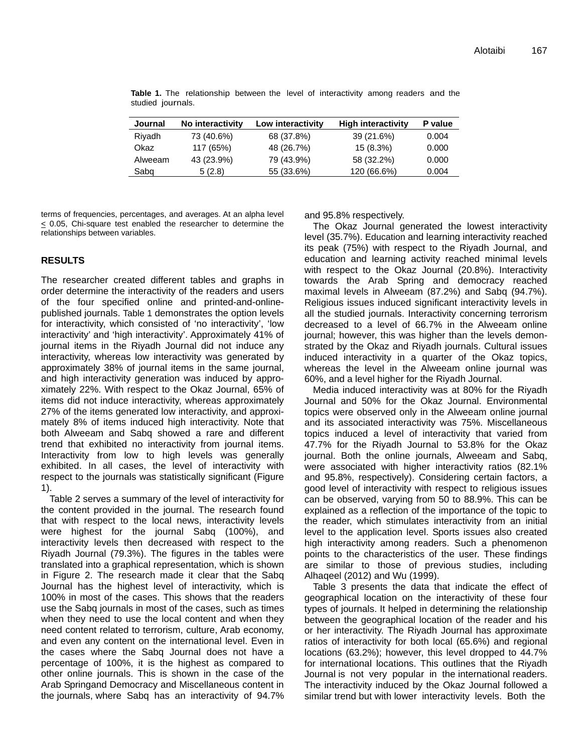| Journal | No interactivity | Low interactivity | <b>High interactivity</b> | P value |
|---------|------------------|-------------------|---------------------------|---------|
| Rivadh  | 73 (40.6%)       | 68 (37.8%)        | 39 (21.6%)                | 0.004   |
| Okaz    | 117 (65%)        | 48 (26.7%)        | 15 (8.3%)                 | 0.000   |
| Alweeam | 43 (23.9%)       | 79 (43.9%)        | 58 (32.2%)                | 0.000   |
| Sabg    | 5(2.8)           | 55 (33.6%)        | 120 (66.6%)               | 0.004   |

**Table 1.** The relationship between the level of interactivity among readers and the studied journals.

terms of frequencies, percentages, and averages. At an alpha level  $\leq$  0.05, Chi-square test enabled the researcher to determine the relationships between variables.

### **RESULTS**

The researcher created different tables and graphs in order determine the interactivity of the readers and users of the four specified online and printed-and-onlinepublished journals. Table 1 demonstrates the option levels for interactivity, which consisted of 'no interactivity', 'low interactivity' and 'high interactivity'. Approximately 41% of journal items in the Riyadh Journal did not induce any interactivity, whereas low interactivity was generated by approximately 38% of journal items in the same journal, and high interactivity generation was induced by approximately 22%. With respect to the Okaz Journal, 65% of items did not induce interactivity, whereas approximately 27% of the items generated low interactivity, and approximately 8% of items induced high interactivity. Note that both Alweeam and Sabq showed a rare and different trend that exhibited no interactivity from journal items. Interactivity from low to high levels was generally exhibited. In all cases, the level of interactivity with respect to the journals was statistically significant (Figure 1).

Table 2 serves a summary of the level of interactivity for the content provided in the journal. The research found that with respect to the local news, interactivity levels were highest for the journal Sabq (100%), and interactivity levels then decreased with respect to the Riyadh Journal (79.3%). The figures in the tables were translated into a graphical representation, which is shown in Figure 2. The research made it clear that the Sabq Journal has the highest level of interactivity, which is 100% in most of the cases. This shows that the readers use the Sabq journals in most of the cases, such as times when they need to use the local content and when they need content related to terrorism, culture, Arab economy, and even any content on the international level. Even in the cases where the Sabq Journal does not have a percentage of 100%, it is the highest as compared to other online journals. This is shown in the case of the Arab Springand Democracy and Miscellaneous content in the journals, where Sabq has an interactivity of 94.7% and 95.8% respectively.

The Okaz Journal generated the lowest interactivity level (35.7%). Education and learning interactivity reached its peak (75%) with respect to the Riyadh Journal, and education and learning activity reached minimal levels with respect to the Okaz Journal (20.8%). Interactivity towards the Arab Spring and democracy reached maximal levels in Alweeam (87.2%) and Sabq (94.7%). Religious issues induced significant interactivity levels in all the studied journals. Interactivity concerning terrorism decreased to a level of 66.7% in the Alweeam online journal; however, this was higher than the levels demonstrated by the Okaz and Riyadh journals. Cultural issues induced interactivity in a quarter of the Okaz topics, whereas the level in the Alweeam online journal was 60%, and a level higher for the Riyadh Journal.

Media induced interactivity was at 80% for the Riyadh Journal and 50% for the Okaz Journal. Environmental topics were observed only in the Alweeam online journal and its associated interactivity was 75%. Miscellaneous topics induced a level of interactivity that varied from 47.7% for the Riyadh Journal to 53.8% for the Okaz journal. Both the online journals, Alweeam and Sabq, were associated with higher interactivity ratios (82.1% and 95.8%, respectively). Considering certain factors, a good level of interactivity with respect to religious issues can be observed, varying from 50 to 88.9%. This can be explained as a reflection of the importance of the topic to the reader, which stimulates interactivity from an initial level to the application level. Sports issues also created high interactivity among readers. Such a phenomenon points to the characteristics of the user. These findings are similar to those of previous studies, including Alhaqeel (2012) and Wu (1999).

Table 3 presents the data that indicate the effect of geographical location on the interactivity of these four types of journals. It helped in determining the relationship between the geographical location of the reader and his or her interactivity. The Riyadh Journal has approximate ratios of interactivity for both local (65.6%) and regional locations (63.2%); however, this level dropped to 44.7% for international locations. This outlines that the Riyadh Journal is not very popular in the international readers. The interactivity induced by the Okaz Journal followed a similar trend but with lower interactivity levels. Both the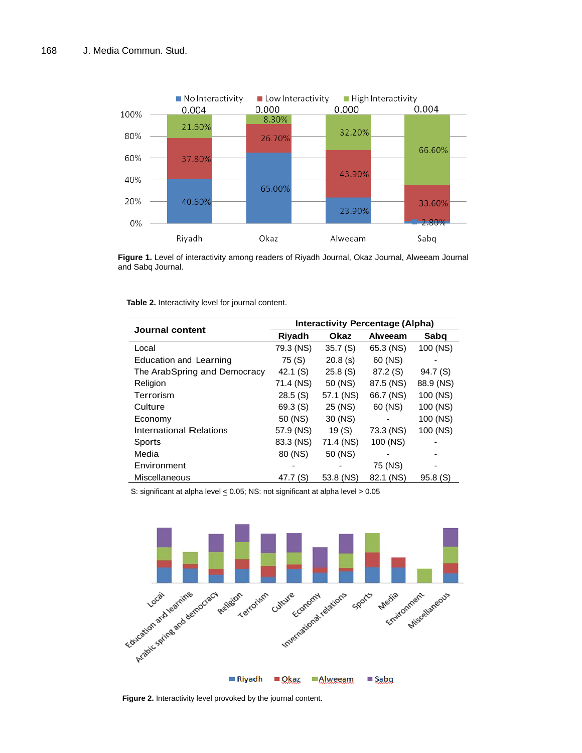

**Figure 1.** Level of interactivity among readers of Riyadh Journal, Okaz Journal, Alweeam Journal and Sabq Journal.

|  | Table 2. Interactivity level for journal content. |  |  |  |
|--|---------------------------------------------------|--|--|--|
|--|---------------------------------------------------|--|--|--|

| Journal content                | <b>Interactivity Percentage (Alpha)</b> |           |           |           |  |
|--------------------------------|-----------------------------------------|-----------|-----------|-----------|--|
|                                | Riyadh                                  | Okaz      | Alweeam   | Sabg      |  |
| Local                          | 79.3 (NS)                               | 35.7(S)   | 65.3 (NS) | 100 (NS)  |  |
| Education and Learning         | 75 (S)                                  | 20.8(s)   | 60 (NS)   |           |  |
| The ArabSpring and Democracy   | 42.1(S)                                 | 25.8(S)   | 87.2 (S)  | 94.7(S)   |  |
| Religion                       | 71.4 (NS)                               | 50 (NS)   | 87.5 (NS) | 88.9 (NS) |  |
| Terrorism                      | 28.5(S)                                 | 57.1 (NS) | 66.7 (NS) | 100 (NS)  |  |
| Culture                        | 69.3(S)                                 | 25 (NS)   | 60 (NS)   | 100 (NS)  |  |
| Economy                        | 50 (NS)                                 | 30 (NS)   |           | 100 (NS)  |  |
| <b>International Relations</b> | 57.9 (NS)                               | 19(S)     | 73.3 (NS) | 100 (NS)  |  |
| Sports                         | 83.3 (NS)                               | 71.4 (NS) | 100 (NS)  |           |  |
| Media                          | 80 (NS)                                 | 50 (NS)   |           |           |  |
| Environment                    |                                         |           | 75 (NS)   |           |  |
| Miscellaneous                  | (S<br>47.7 (                            | 53.8 (NS) | 82.1 (NS) | 95.8(S)   |  |

S: significant at alpha level  $\leq$  0.05; NS: not significant at alpha level > 0.05



**Figure 2.** Interactivity level provoked by the journal content.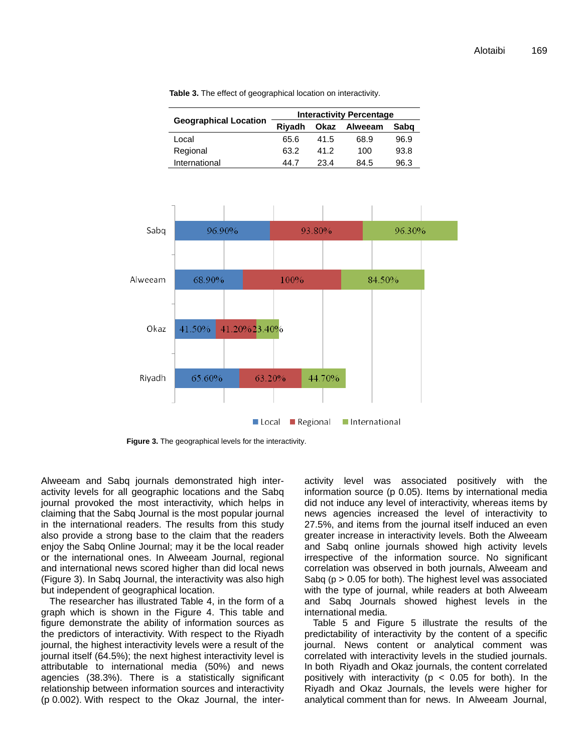|                              | <b>Interactivity Percentage</b> |      |         |      |  |
|------------------------------|---------------------------------|------|---------|------|--|
| <b>Geographical Location</b> | <b>Rivadh</b>                   | Okaz | Alweeam | Saba |  |
| Local                        | 65.6                            | 41.5 | 68.9    | 96.9 |  |
| Regional                     | 63.2                            | 41.2 | 100     | 93.8 |  |
| International                | 44 7                            | 23.4 | 84.5    | 96.3 |  |

**Table 3.** The effect of geographical location on interactivity.



**Figure 3.** The geographical levels for the interactivity.

Alweeam and Sabq journals demonstrated high interactivity levels for all geographic locations and the Sabq journal provoked the most interactivity, which helps in claiming that the Sabq Journal is the most popular journal in the international readers. The results from this study also provide a strong base to the claim that the readers enjoy the Sabq Online Journal; may it be the local reader or the international ones. In Alweeam Journal, regional and international news scored higher than did local news (Figure 3). In Sabq Journal, the interactivity was also high but independent of geographical location.

The researcher has illustrated Table 4, in the form of a graph which is shown in the Figure 4. This table and figure demonstrate the ability of information sources as the predictors of interactivity. With respect to the Riyadh journal, the highest interactivity levels were a result of the journal itself (64.5%); the next highest interactivity level is attributable to international media (50%) and news agencies (38.3%). There is a statistically significant relationship between information sources and interactivity (p 0.002). With respect to the Okaz Journal, the inter-

activity level was associated positively with the information source (p 0.05). Items by international media did not induce any level of interactivity, whereas items by news agencies increased the level of interactivity to 27.5%, and items from the journal itself induced an even greater increase in interactivity levels. Both the Alweeam and Sabq online journals showed high activity levels irrespective of the information source. No significant correlation was observed in both journals, Alweeam and Sabg ( $p > 0.05$  for both). The highest level was associated with the type of journal, while readers at both Alweeam and Sabq Journals showed highest levels in the international media.

Table 5 and Figure 5 illustrate the results of the predictability of interactivity by the content of a specific journal. News content or analytical comment was correlated with interactivity levels in the studied journals. In both Riyadh and Okaz journals, the content correlated positively with interactivity ( $p < 0.05$  for both). In the Riyadh and Okaz Journals, the levels were higher for analytical comment than for news. In Alweeam Journal,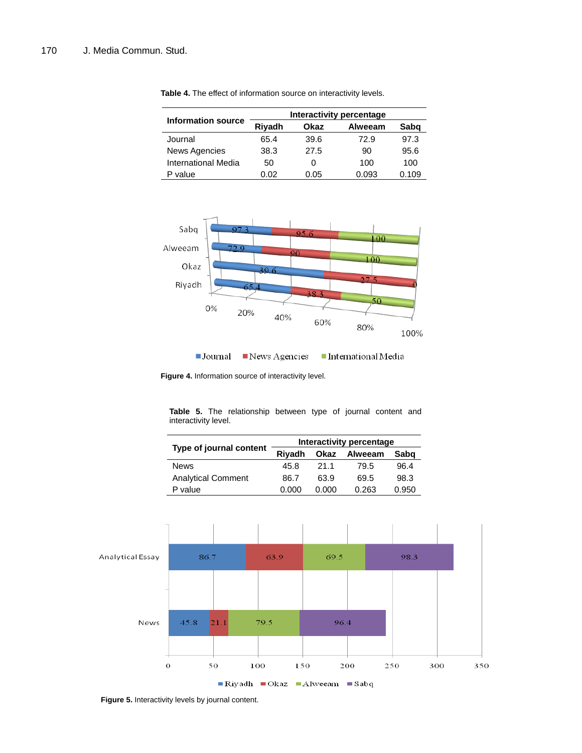|                      | Interactivity percentage |      |                |       |  |  |
|----------------------|--------------------------|------|----------------|-------|--|--|
| Information source   | <b>Rivadh</b>            | Okaz | <b>Alweeam</b> | Sabg  |  |  |
| Journal              | 65.4                     | 39.6 | 72.9           | 97.3  |  |  |
| <b>News Agencies</b> | 38.3                     | 27.5 | 90             | 95.6  |  |  |
| International Media  | 50                       | 0    | 100            | 100   |  |  |
| value                | 0.02                     | 0.05 | 0.093          | 0.109 |  |  |

**Table 4.** The effect of information source on interactivity levels.



■ Journal  $\blacksquare$  News Agencies  $\blacksquare$  International Media

**Figure 4.** Information source of interactivity level.

**Table 5.** The relationship between type of journal content and interactivity level.

|                           | Interactivity percentage |       |         |       |  |
|---------------------------|--------------------------|-------|---------|-------|--|
| Type of journal content   | <b>Rivadh</b>            | Okaz  | Alweeam | Saba  |  |
| <b>News</b>               | 45.8                     | 21.1  | 79.5    | 96.4  |  |
| <b>Analytical Comment</b> | 86.7                     | 63.9  | 69.5    | 98.3  |  |
| P value                   | 0.000                    | 0.000 | 0.263   | 0.950 |  |



**Figure 5.** Interactivity levels by journal content.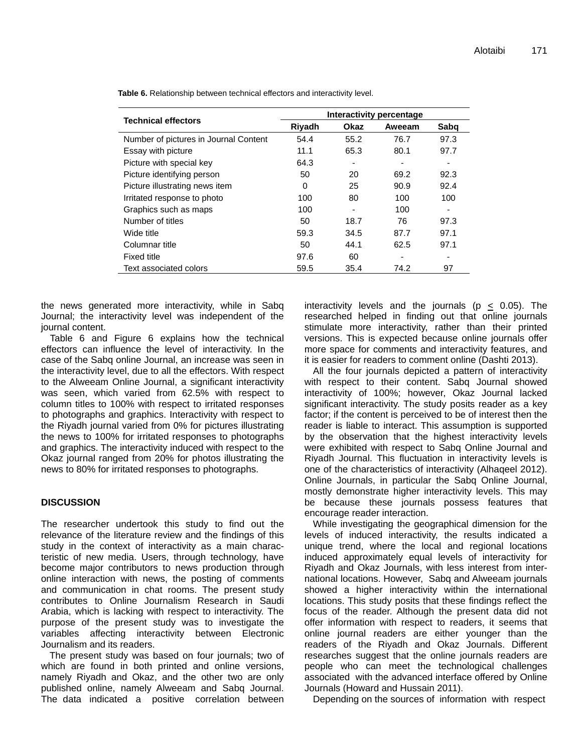| <b>Technical effectors</b>            | Interactivity percentage |      |        |      |  |
|---------------------------------------|--------------------------|------|--------|------|--|
|                                       | Riyadh                   | Okaz | Aweeam | Sabg |  |
| Number of pictures in Journal Content | 54.4                     | 55.2 | 76.7   | 97.3 |  |
| Essay with picture                    | 11.1                     | 65.3 | 80.1   | 97.7 |  |
| Picture with special key              | 64.3                     |      |        |      |  |
| Picture identifying person            | 50                       | 20   | 69.2   | 92.3 |  |
| Picture illustrating news item        | 0                        | 25   | 90.9   | 92.4 |  |
| Irritated response to photo           | 100                      | 80   | 100    | 100  |  |
| Graphics such as maps                 | 100                      |      | 100    |      |  |
| Number of titles                      | 50                       | 18.7 | 76     | 97.3 |  |
| Wide title                            | 59.3                     | 34.5 | 87.7   | 97.1 |  |
| Columnar title                        | 50                       | 44.1 | 62.5   | 97.1 |  |
| <b>Fixed title</b>                    | 97.6                     | 60   |        |      |  |
| Text associated colors                | 59.5                     | 35.4 | 74.2   | 97   |  |

**Table 6.** Relationship between technical effectors and interactivity level.

the news generated more interactivity, while in Sabq Journal; the interactivity level was independent of the journal content.

Table 6 and Figure 6 explains how the technical effectors can influence the level of interactivity. In the case of the Sabq online Journal, an increase was seen in the interactivity level, due to all the effectors. With respect to the Alweeam Online Journal, a significant interactivity was seen, which varied from 62.5% with respect to column titles to 100% with respect to irritated responses to photographs and graphics. Interactivity with respect to the Riyadh journal varied from 0% for pictures illustrating the news to 100% for irritated responses to photographs and graphics. The interactivity induced with respect to the Okaz journal ranged from 20% for photos illustrating the news to 80% for irritated responses to photographs.

#### **DISCUSSION**

The researcher undertook this study to find out the relevance of the literature review and the findings of this study in the context of interactivity as a main characteristic of new media. Users, through technology, have become major contributors to news production through online interaction with news, the posting of comments and communication in chat rooms. The present study contributes to Online Journalism Research in Saudi Arabia, which is lacking with respect to interactivity. The purpose of the present study was to investigate the variables affecting interactivity between Electronic Journalism and its readers.

The present study was based on four journals; two of which are found in both printed and online versions, namely Riyadh and Okaz, and the other two are only published online, namely Alweeam and Sabq Journal. The data indicated a positive correlation between interactivity levels and the journals ( $p < 0.05$ ). The researched helped in finding out that online journals stimulate more interactivity, rather than their printed versions. This is expected because online journals offer more space for comments and interactivity features, and it is easier for readers to comment online (Dashti 2013).

All the four journals depicted a pattern of interactivity with respect to their content. Sabq Journal showed interactivity of 100%; however, Okaz Journal lacked significant interactivity. The study posits reader as a key factor; if the content is perceived to be of interest then the reader is liable to interact. This assumption is supported by the observation that the highest interactivity levels were exhibited with respect to Sabq Online Journal and Riyadh Journal. This fluctuation in interactivity levels is one of the characteristics of interactivity (Alhaqeel 2012). Online Journals, in particular the Sabq Online Journal, mostly demonstrate higher interactivity levels. This may be because these journals possess features that encourage reader interaction.

While investigating the geographical dimension for the levels of induced interactivity, the results indicated a unique trend, where the local and regional locations induced approximately equal levels of interactivity for Riyadh and Okaz Journals, with less interest from international locations. However, Sabq and Alweeam journals showed a higher interactivity within the international locations. This study posits that these findings reflect the focus of the reader. Although the present data did not offer information with respect to readers, it seems that online journal readers are either younger than the readers of the Riyadh and Okaz Journals. Different researches suggest that the online journals readers are people who can meet the technological challenges associated with the advanced interface offered by Online Journals (Howard and Hussain 2011).

Depending on the sources of information with respect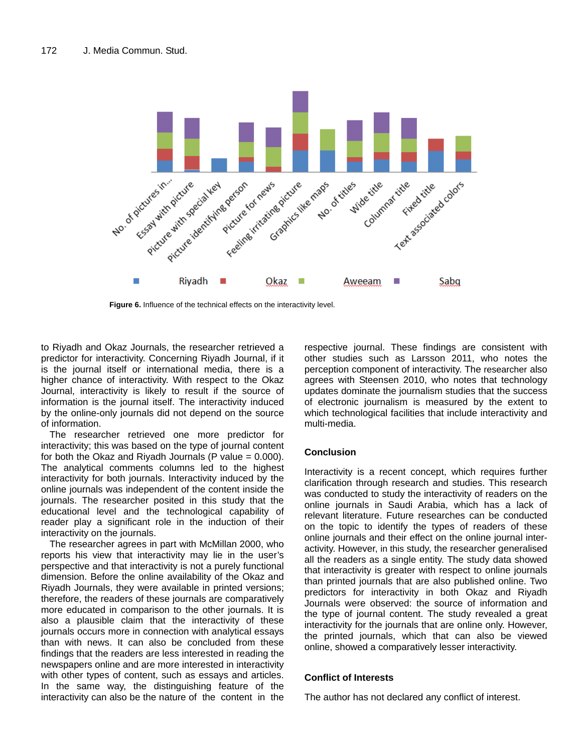

**Figure 6.** Influence of the technical effects on the interactivity level.

to Riyadh and Okaz Journals, the researcher retrieved a predictor for interactivity. Concerning Riyadh Journal, if it is the journal itself or international media, there is a higher chance of interactivity. With respect to the Okaz Journal, interactivity is likely to result if the source of information is the journal itself. The interactivity induced by the online-only journals did not depend on the source of information.

The researcher retrieved one more predictor for interactivity; this was based on the type of journal content for both the Okaz and Riyadh Journals (P value  $= 0.000$ ). The analytical comments columns led to the highest interactivity for both journals. Interactivity induced by the online journals was independent of the content inside the journals. The researcher posited in this study that the educational level and the technological capability of reader play a significant role in the induction of their interactivity on the journals.

The researcher agrees in part with McMillan 2000, who reports his view that interactivity may lie in the user's perspective and that interactivity is not a purely functional dimension. Before the online availability of the Okaz and Riyadh Journals, they were available in printed versions; therefore, the readers of these journals are comparatively more educated in comparison to the other journals. It is also a plausible claim that the interactivity of these journals occurs more in connection with analytical essays than with news. It can also be concluded from these findings that the readers are less interested in reading the newspapers online and are more interested in interactivity with other types of content, such as essays and articles. In the same way, the distinguishing feature of the interactivity can also be the nature of the content in the respective journal. These findings are consistent with other studies such as Larsson 2011, who notes the perception component of interactivity. The researcher also agrees with Steensen 2010, who notes that technology updates dominate the journalism studies that the success of electronic journalism is measured by the extent to which technological facilities that include interactivity and multi-media.

#### **Conclusion**

Interactivity is a recent concept, which requires further clarification through research and studies. This research was conducted to study the interactivity of readers on the online journals in Saudi Arabia, which has a lack of relevant literature. Future researches can be conducted on the topic to identify the types of readers of these online journals and their effect on the online journal interactivity. However, in this study, the researcher generalised all the readers as a single entity. The study data showed that interactivity is greater with respect to online journals than printed journals that are also published online. Two predictors for interactivity in both Okaz and Riyadh Journals were observed: the source of information and the type of journal content. The study revealed a great interactivity for the journals that are online only. However, the printed journals, which that can also be viewed online, showed a comparatively lesser interactivity.

#### **Conflict of Interests**

The author has not declared any conflict of interest.